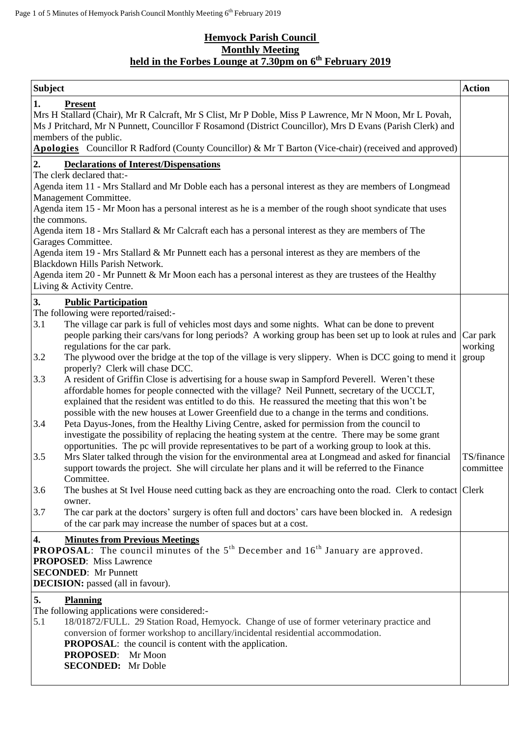## **Hemyock Parish Council Monthly Meeting held in the Forbes Lounge at 7.30pm on 6 th February 2019**

| <b>Subject</b>                                                                                                                                                                                                                                                                                                                                                                 |                                                                                                                                                                                                          |            |  |  |
|--------------------------------------------------------------------------------------------------------------------------------------------------------------------------------------------------------------------------------------------------------------------------------------------------------------------------------------------------------------------------------|----------------------------------------------------------------------------------------------------------------------------------------------------------------------------------------------------------|------------|--|--|
| 1.<br><b>Present</b><br>Mrs H Stallard (Chair), Mr R Calcraft, Mr S Clist, Mr P Doble, Miss P Lawrence, Mr N Moon, Mr L Povah,<br>Ms J Pritchard, Mr N Punnett, Councillor F Rosamond (District Councillor), Mrs D Evans (Parish Clerk) and<br>members of the public.<br>Apologies Councillor R Radford (County Councillor) & Mr T Barton (Vice-chair) (received and approved) |                                                                                                                                                                                                          |            |  |  |
| 2.                                                                                                                                                                                                                                                                                                                                                                             | <b>Declarations of Interest/Dispensations</b>                                                                                                                                                            |            |  |  |
|                                                                                                                                                                                                                                                                                                                                                                                | The clerk declared that:-                                                                                                                                                                                |            |  |  |
| Agenda item 11 - Mrs Stallard and Mr Doble each has a personal interest as they are members of Longmead<br>Management Committee.                                                                                                                                                                                                                                               |                                                                                                                                                                                                          |            |  |  |
|                                                                                                                                                                                                                                                                                                                                                                                | Agenda item 15 - Mr Moon has a personal interest as he is a member of the rough shoot syndicate that uses                                                                                                |            |  |  |
| the commons.                                                                                                                                                                                                                                                                                                                                                                   |                                                                                                                                                                                                          |            |  |  |
|                                                                                                                                                                                                                                                                                                                                                                                | Agenda item 18 - Mrs Stallard & Mr Calcraft each has a personal interest as they are members of The                                                                                                      |            |  |  |
|                                                                                                                                                                                                                                                                                                                                                                                | Garages Committee.<br>Agenda item 19 - Mrs Stallard & Mr Punnett each has a personal interest as they are members of the                                                                                 |            |  |  |
|                                                                                                                                                                                                                                                                                                                                                                                | Blackdown Hills Parish Network.                                                                                                                                                                          |            |  |  |
|                                                                                                                                                                                                                                                                                                                                                                                | Agenda item 20 - Mr Punnett & Mr Moon each has a personal interest as they are trustees of the Healthy                                                                                                   |            |  |  |
|                                                                                                                                                                                                                                                                                                                                                                                | Living & Activity Centre.                                                                                                                                                                                |            |  |  |
| 3.                                                                                                                                                                                                                                                                                                                                                                             | <b>Public Participation</b>                                                                                                                                                                              |            |  |  |
|                                                                                                                                                                                                                                                                                                                                                                                | The following were reported/raised:-                                                                                                                                                                     |            |  |  |
| 3.1                                                                                                                                                                                                                                                                                                                                                                            | The village car park is full of vehicles most days and some nights. What can be done to prevent<br>people parking their cars/vans for long periods? A working group has been set up to look at rules and | Car park   |  |  |
|                                                                                                                                                                                                                                                                                                                                                                                | regulations for the car park.                                                                                                                                                                            | working    |  |  |
| 3.2                                                                                                                                                                                                                                                                                                                                                                            | The plywood over the bridge at the top of the village is very slippery. When is DCC going to mend it                                                                                                     | group      |  |  |
|                                                                                                                                                                                                                                                                                                                                                                                | properly? Clerk will chase DCC.                                                                                                                                                                          |            |  |  |
| 3.3                                                                                                                                                                                                                                                                                                                                                                            | A resident of Griffin Close is advertising for a house swap in Sampford Peverell. Weren't these<br>affordable homes for people connected with the village? Neil Punnett, secretary of the UCCLT,         |            |  |  |
|                                                                                                                                                                                                                                                                                                                                                                                | explained that the resident was entitled to do this. He reassured the meeting that this won't be                                                                                                         |            |  |  |
|                                                                                                                                                                                                                                                                                                                                                                                | possible with the new houses at Lower Greenfield due to a change in the terms and conditions.                                                                                                            |            |  |  |
| 3.4                                                                                                                                                                                                                                                                                                                                                                            | Peta Dayus-Jones, from the Healthy Living Centre, asked for permission from the council to                                                                                                               |            |  |  |
|                                                                                                                                                                                                                                                                                                                                                                                | investigate the possibility of replacing the heating system at the centre. There may be some grant                                                                                                       |            |  |  |
| 3.5                                                                                                                                                                                                                                                                                                                                                                            | opportunities. The pc will provide representatives to be part of a working group to look at this.<br>Mrs Slater talked through the vision for the environmental area at Longmead and asked for financial | TS/finance |  |  |
|                                                                                                                                                                                                                                                                                                                                                                                | support towards the project. She will circulate her plans and it will be referred to the Finance                                                                                                         | committee  |  |  |
|                                                                                                                                                                                                                                                                                                                                                                                | Committee.                                                                                                                                                                                               |            |  |  |
| 3.6                                                                                                                                                                                                                                                                                                                                                                            | The bushes at St Ivel House need cutting back as they are encroaching onto the road. Clerk to contact Clerk                                                                                              |            |  |  |
| 3.7                                                                                                                                                                                                                                                                                                                                                                            | owner.<br>The car park at the doctors' surgery is often full and doctors' cars have been blocked in. A redesign                                                                                          |            |  |  |
|                                                                                                                                                                                                                                                                                                                                                                                | of the car park may increase the number of spaces but at a cost.                                                                                                                                         |            |  |  |
| $\boldsymbol{4}$ .                                                                                                                                                                                                                                                                                                                                                             | <b>Minutes from Previous Meetings</b>                                                                                                                                                                    |            |  |  |
|                                                                                                                                                                                                                                                                                                                                                                                | <b>PROPOSAL:</b> The council minutes of the $5th$ December and $16th$ January are approved.                                                                                                              |            |  |  |
|                                                                                                                                                                                                                                                                                                                                                                                | <b>PROPOSED:</b> Miss Lawrence                                                                                                                                                                           |            |  |  |
| <b>SECONDED:</b> Mr Punnett                                                                                                                                                                                                                                                                                                                                                    |                                                                                                                                                                                                          |            |  |  |
|                                                                                                                                                                                                                                                                                                                                                                                | <b>DECISION:</b> passed (all in favour).                                                                                                                                                                 |            |  |  |
| 5.                                                                                                                                                                                                                                                                                                                                                                             | <b>Planning</b>                                                                                                                                                                                          |            |  |  |
| 5.1                                                                                                                                                                                                                                                                                                                                                                            | The following applications were considered:-<br>18/01872/FULL. 29 Station Road, Hemyock. Change of use of former veterinary practice and                                                                 |            |  |  |
|                                                                                                                                                                                                                                                                                                                                                                                | conversion of former workshop to ancillary/incidental residential accommodation.                                                                                                                         |            |  |  |
|                                                                                                                                                                                                                                                                                                                                                                                | <b>PROPOSAL:</b> the council is content with the application.                                                                                                                                            |            |  |  |
|                                                                                                                                                                                                                                                                                                                                                                                | PROPOSED: Mr Moon                                                                                                                                                                                        |            |  |  |
|                                                                                                                                                                                                                                                                                                                                                                                | <b>SECONDED:</b> Mr Doble                                                                                                                                                                                |            |  |  |
|                                                                                                                                                                                                                                                                                                                                                                                |                                                                                                                                                                                                          |            |  |  |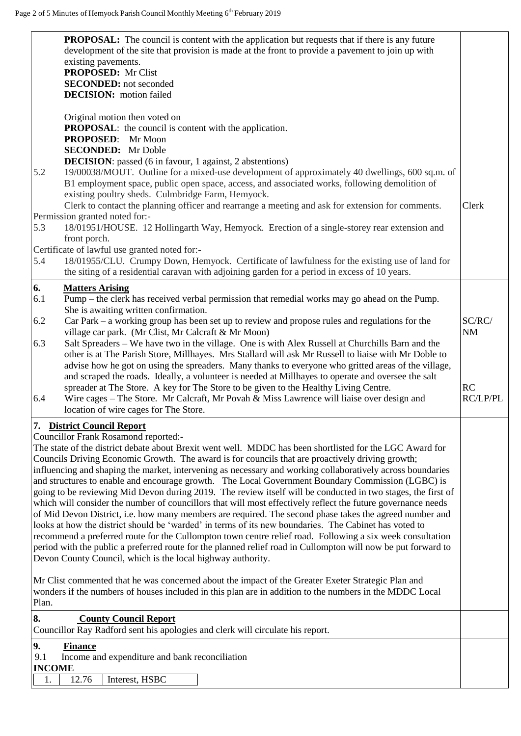|               | <b>PROPOSAL:</b> The council is content with the application but requests that if there is any future                                                                                                                      |                     |
|---------------|----------------------------------------------------------------------------------------------------------------------------------------------------------------------------------------------------------------------------|---------------------|
|               | development of the site that provision is made at the front to provide a pavement to join up with<br>existing pavements.                                                                                                   |                     |
|               | <b>PROPOSED:</b> Mr Clist                                                                                                                                                                                                  |                     |
|               | <b>SECONDED:</b> not seconded                                                                                                                                                                                              |                     |
|               | <b>DECISION:</b> motion failed                                                                                                                                                                                             |                     |
|               |                                                                                                                                                                                                                            |                     |
|               | Original motion then voted on<br><b>PROPOSAL:</b> the council is content with the application.                                                                                                                             |                     |
|               | PROPOSED: Mr Moon                                                                                                                                                                                                          |                     |
|               | <b>SECONDED:</b> Mr Doble                                                                                                                                                                                                  |                     |
|               | <b>DECISION:</b> passed (6 in favour, 1 against, 2 abstentions)                                                                                                                                                            |                     |
| 5.2           | 19/00038/MOUT. Outline for a mixed-use development of approximately 40 dwellings, 600 sq.m. of                                                                                                                             |                     |
|               | B1 employment space, public open space, access, and associated works, following demolition of                                                                                                                              |                     |
|               | existing poultry sheds. Culmbridge Farm, Hemyock.                                                                                                                                                                          |                     |
|               | Clerk to contact the planning officer and rearrange a meeting and ask for extension for comments.<br>Permission granted noted for:-                                                                                        | Clerk               |
| 5.3           | 18/01951/HOUSE. 12 Hollingarth Way, Hemyock. Erection of a single-storey rear extension and                                                                                                                                |                     |
|               | front porch.                                                                                                                                                                                                               |                     |
|               | Certificate of lawful use granted noted for:-                                                                                                                                                                              |                     |
| 5.4           | 18/01955/CLU. Crumpy Down, Hemyock. Certificate of lawfulness for the existing use of land for                                                                                                                             |                     |
|               | the siting of a residential caravan with adjoining garden for a period in excess of 10 years.                                                                                                                              |                     |
| 6.            | <b>Matters Arising</b>                                                                                                                                                                                                     |                     |
| 6.1           | Pump – the clerk has received verbal permission that remedial works may go ahead on the Pump.                                                                                                                              |                     |
|               | She is awaiting written confirmation.                                                                                                                                                                                      |                     |
| 6.2           | Car Park – a working group has been set up to review and propose rules and regulations for the<br>village car park. (Mr Clist, Mr Calcraft & Mr Moon)                                                                      | SC/RC/<br><b>NM</b> |
| 6.3           | Salt Spreaders - We have two in the village. One is with Alex Russell at Churchills Barn and the                                                                                                                           |                     |
|               | other is at The Parish Store, Millhayes. Mrs Stallard will ask Mr Russell to liaise with Mr Doble to                                                                                                                       |                     |
|               | advise how he got on using the spreaders. Many thanks to everyone who gritted areas of the village,                                                                                                                        |                     |
|               | and scraped the roads. Ideally, a volunteer is needed at Millhayes to operate and oversee the salt                                                                                                                         |                     |
|               | spreader at The Store. A key for The Store to be given to the Healthy Living Centre.                                                                                                                                       | <b>RC</b>           |
| 6.4           | Wire cages - The Store. Mr Calcraft, Mr Povah & Miss Lawrence will liaise over design and                                                                                                                                  | RC/LP/PL            |
|               | location of wire cages for The Store.                                                                                                                                                                                      |                     |
|               | 7. District Council Report                                                                                                                                                                                                 |                     |
|               | Councillor Frank Rosamond reported:-<br>The state of the district debate about Brexit went well. MDDC has been shortlisted for the LGC Award for                                                                           |                     |
|               | Councils Driving Economic Growth. The award is for councils that are proactively driving growth;                                                                                                                           |                     |
|               | influencing and shaping the market, intervening as necessary and working collaboratively across boundaries                                                                                                                 |                     |
|               | and structures to enable and encourage growth. The Local Government Boundary Commission (LGBC) is                                                                                                                          |                     |
|               | going to be reviewing Mid Devon during 2019. The review itself will be conducted in two stages, the first of                                                                                                               |                     |
|               | which will consider the number of councillors that will most effectively reflect the future governance needs                                                                                                               |                     |
|               | of Mid Devon District, i.e. how many members are required. The second phase takes the agreed number and                                                                                                                    |                     |
|               | looks at how the district should be 'warded' in terms of its new boundaries. The Cabinet has voted to                                                                                                                      |                     |
|               | recommend a preferred route for the Cullompton town centre relief road. Following a six week consultation<br>period with the public a preferred route for the planned relief road in Cullompton will now be put forward to |                     |
|               | Devon County Council, which is the local highway authority.                                                                                                                                                                |                     |
|               |                                                                                                                                                                                                                            |                     |
|               | Mr Clist commented that he was concerned about the impact of the Greater Exeter Strategic Plan and                                                                                                                         |                     |
|               | wonders if the numbers of houses included in this plan are in addition to the numbers in the MDDC Local                                                                                                                    |                     |
| Plan.         |                                                                                                                                                                                                                            |                     |
| 8.            | <b>County Council Report</b><br>Councillor Ray Radford sent his apologies and clerk will circulate his report.                                                                                                             |                     |
|               |                                                                                                                                                                                                                            |                     |
| 9.<br>9.1     | <b>Finance</b><br>Income and expenditure and bank reconciliation                                                                                                                                                           |                     |
| <b>INCOME</b> |                                                                                                                                                                                                                            |                     |
| 1.            | 12.76<br>Interest, HSBC                                                                                                                                                                                                    |                     |
|               |                                                                                                                                                                                                                            |                     |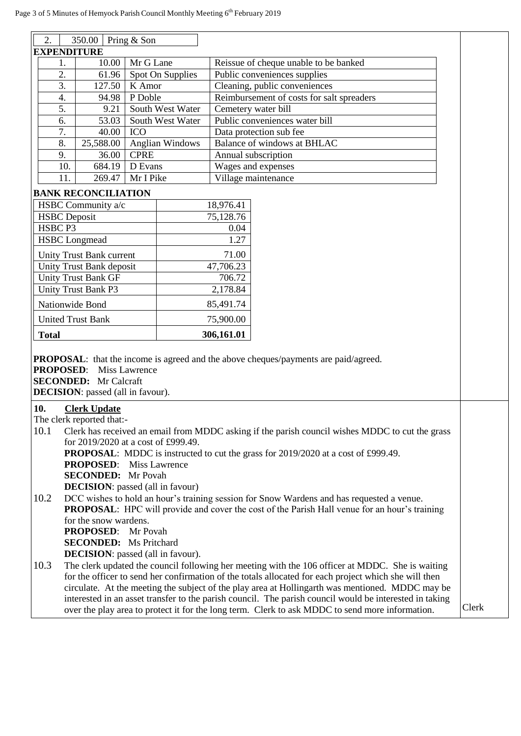| 350.00   Pring & Son<br>2.                                                                                                                                                                                          |                                                                                                  |             |                                       |                                           |                                |  |
|---------------------------------------------------------------------------------------------------------------------------------------------------------------------------------------------------------------------|--------------------------------------------------------------------------------------------------|-------------|---------------------------------------|-------------------------------------------|--------------------------------|--|
| <b>EXPENDITURE</b>                                                                                                                                                                                                  |                                                                                                  |             |                                       |                                           |                                |  |
| Mr G Lane<br>10.00<br>1.                                                                                                                                                                                            |                                                                                                  |             | Reissue of cheque unable to be banked |                                           |                                |  |
| 2.                                                                                                                                                                                                                  | Spot On Supplies<br>61.96                                                                        |             |                                       | Public conveniences supplies              |                                |  |
| 3.                                                                                                                                                                                                                  | K Amor<br>127.50                                                                                 |             |                                       | Cleaning, public conveniences             |                                |  |
| 4.                                                                                                                                                                                                                  | P Doble<br>94.98                                                                                 |             |                                       | Reimbursement of costs for salt spreaders |                                |  |
| 5.                                                                                                                                                                                                                  | 9.21                                                                                             |             | South West Water                      | Cemetery water bill                       |                                |  |
| 6.                                                                                                                                                                                                                  | 53.03                                                                                            |             | South West Water                      |                                           | Public conveniences water bill |  |
| 7.                                                                                                                                                                                                                  | 40.00                                                                                            | <b>ICO</b>  |                                       |                                           | Data protection sub fee        |  |
| 8.                                                                                                                                                                                                                  | 25,588.00                                                                                        |             | <b>Anglian Windows</b>                |                                           | Balance of windows at BHLAC    |  |
| 9.                                                                                                                                                                                                                  | 36.00                                                                                            | <b>CPRE</b> |                                       | Annual subscription                       |                                |  |
| 10.                                                                                                                                                                                                                 | 684.19                                                                                           | D Evans     |                                       | Wages and expenses                        |                                |  |
| 11.                                                                                                                                                                                                                 | 269.47                                                                                           | Mr I Pike   |                                       | Village maintenance                       |                                |  |
|                                                                                                                                                                                                                     | <b>BANK RECONCILIATION</b>                                                                       |             |                                       |                                           |                                |  |
|                                                                                                                                                                                                                     | HSBC Community a/c                                                                               |             |                                       | 18,976.41                                 |                                |  |
| <b>HSBC</b> Deposit                                                                                                                                                                                                 |                                                                                                  |             |                                       | 75,128.76                                 |                                |  |
| HSBC <sub>P3</sub>                                                                                                                                                                                                  |                                                                                                  |             |                                       | 0.04                                      |                                |  |
|                                                                                                                                                                                                                     | <b>HSBC</b> Longmead                                                                             |             |                                       | 1.27                                      |                                |  |
|                                                                                                                                                                                                                     | <b>Unity Trust Bank current</b>                                                                  |             |                                       | 71.00                                     |                                |  |
|                                                                                                                                                                                                                     | Unity Trust Bank deposit                                                                         |             |                                       | 47,706.23                                 |                                |  |
|                                                                                                                                                                                                                     | <b>Unity Trust Bank GF</b>                                                                       |             |                                       | 706.72                                    |                                |  |
|                                                                                                                                                                                                                     | <b>Unity Trust Bank P3</b>                                                                       |             |                                       | 2,178.84                                  |                                |  |
|                                                                                                                                                                                                                     | Nationwide Bond                                                                                  |             |                                       | 85,491.74                                 |                                |  |
|                                                                                                                                                                                                                     | <b>United Trust Bank</b>                                                                         |             |                                       | 75,900.00                                 |                                |  |
| <b>Total</b>                                                                                                                                                                                                        |                                                                                                  |             |                                       | 306,161.01                                |                                |  |
| <b>PROPOSAL:</b> that the income is agreed and the above cheques/payments are paid/agreed.<br><b>PROPOSED:</b><br><b>Miss Lawrence</b><br><b>SECONDED:</b> Mr Calcraft<br><b>DECISION</b> : passed (all in favour). |                                                                                                  |             |                                       |                                           |                                |  |
| 10.                                                                                                                                                                                                                 | <b>Clerk Update</b>                                                                              |             |                                       |                                           |                                |  |
|                                                                                                                                                                                                                     | The clerk reported that:-                                                                        |             |                                       |                                           |                                |  |
| Clerk has received an email from MDDC asking if the parish council wishes MDDC to cut the grass<br>10.1                                                                                                             |                                                                                                  |             |                                       |                                           |                                |  |
| for 2019/2020 at a cost of £999.49.                                                                                                                                                                                 |                                                                                                  |             |                                       |                                           |                                |  |
| <b>PROPOSAL:</b> MDDC is instructed to cut the grass for 2019/2020 at a cost of £999.49.                                                                                                                            |                                                                                                  |             |                                       |                                           |                                |  |
| <b>PROPOSED:</b> Miss Lawrence                                                                                                                                                                                      |                                                                                                  |             |                                       |                                           |                                |  |
| <b>SECONDED:</b> Mr Povah                                                                                                                                                                                           |                                                                                                  |             |                                       |                                           |                                |  |
| <b>DECISION</b> : passed (all in favour)                                                                                                                                                                            |                                                                                                  |             |                                       |                                           |                                |  |
| 10.2<br>DCC wishes to hold an hour's training session for Snow Wardens and has requested a venue.                                                                                                                   |                                                                                                  |             |                                       |                                           |                                |  |
| <b>PROPOSAL:</b> HPC will provide and cover the cost of the Parish Hall venue for an hour's training                                                                                                                |                                                                                                  |             |                                       |                                           |                                |  |
| for the snow wardens.<br><b>PROPOSED:</b> Mr Povah                                                                                                                                                                  |                                                                                                  |             |                                       |                                           |                                |  |
| <b>SECONDED:</b> Ms Pritchard                                                                                                                                                                                       |                                                                                                  |             |                                       |                                           |                                |  |
|                                                                                                                                                                                                                     | <b>DECISION</b> : passed (all in favour).                                                        |             |                                       |                                           |                                |  |
| 10.3                                                                                                                                                                                                                | The clerk updated the council following her meeting with the 106 officer at MDDC. She is waiting |             |                                       |                                           |                                |  |
| for the officer to send her confirmation of the totals allocated for each project which she will then                                                                                                               |                                                                                                  |             |                                       |                                           |                                |  |
| circulate. At the meeting the subject of the play area at Hollingarth was mentioned. MDDC may be                                                                                                                    |                                                                                                  |             |                                       |                                           |                                |  |
| interested in an asset transfer to the parish council. The parish council would be interested in taking                                                                                                             |                                                                                                  |             |                                       |                                           |                                |  |
| over the play area to protect it for the long term. Clerk to ask MDDC to send more information.                                                                                                                     |                                                                                                  |             |                                       | Clerk                                     |                                |  |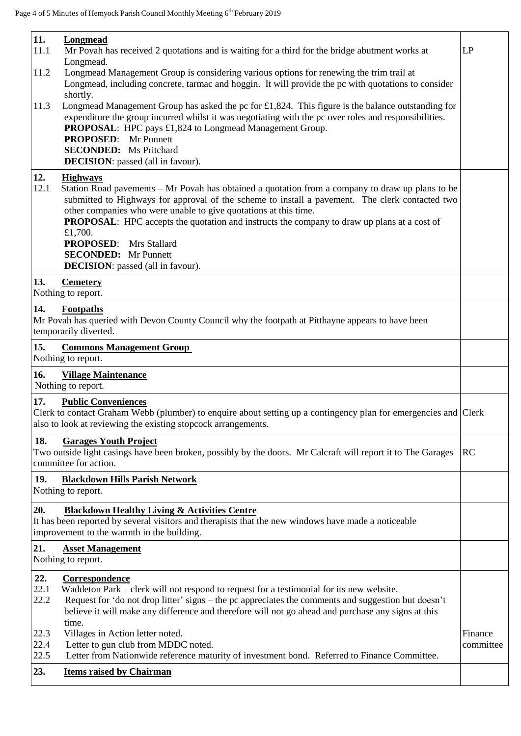| 11.                  | Longmead                                                                                                                                                                                                                                                                                                                                                                                                                                                                                             |                      |
|----------------------|------------------------------------------------------------------------------------------------------------------------------------------------------------------------------------------------------------------------------------------------------------------------------------------------------------------------------------------------------------------------------------------------------------------------------------------------------------------------------------------------------|----------------------|
| 11.1                 | Mr Povah has received 2 quotations and is waiting for a third for the bridge abutment works at                                                                                                                                                                                                                                                                                                                                                                                                       | LP                   |
| 11.2                 | Longmead.<br>Longmead Management Group is considering various options for renewing the trim trail at<br>Longmead, including concrete, tarmac and hoggin. It will provide the pc with quotations to consider                                                                                                                                                                                                                                                                                          |                      |
| 11.3                 | shortly.<br>Longmead Management Group has asked the pc for £1,824. This figure is the balance outstanding for<br>expenditure the group incurred whilst it was negotiating with the pc over roles and responsibilities.<br>PROPOSAL: HPC pays £1,824 to Longmead Management Group.<br><b>PROPOSED:</b> Mr Punnett<br><b>SECONDED:</b> Ms Pritchard<br><b>DECISION:</b> passed (all in favour).                                                                                                        |                      |
| 12.                  | <b>Highways</b>                                                                                                                                                                                                                                                                                                                                                                                                                                                                                      |                      |
| 12.1                 | Station Road pavements – Mr Povah has obtained a quotation from a company to draw up plans to be<br>submitted to Highways for approval of the scheme to install a pavement. The clerk contacted two<br>other companies who were unable to give quotations at this time.<br><b>PROPOSAL:</b> HPC accepts the quotation and instructs the company to draw up plans at a cost of<br>£1,700.<br><b>PROPOSED:</b> Mrs Stallard<br><b>SECONDED:</b> Mr Punnett<br><b>DECISION:</b> passed (all in favour). |                      |
| 13.                  | <b>Cemetery</b><br>Nothing to report.                                                                                                                                                                                                                                                                                                                                                                                                                                                                |                      |
| 14.                  | Footpaths<br>Mr Povah has queried with Devon County Council why the footpath at Pitthayne appears to have been<br>temporarily diverted.                                                                                                                                                                                                                                                                                                                                                              |                      |
| 15.                  | <b>Commons Management Group</b><br>Nothing to report.                                                                                                                                                                                                                                                                                                                                                                                                                                                |                      |
| 16.                  | <b>Village Maintenance</b><br>Nothing to report.                                                                                                                                                                                                                                                                                                                                                                                                                                                     |                      |
| 17.                  | <b>Public Conveniences</b><br>Clerk to contact Graham Webb (plumber) to enquire about setting up a contingency plan for emergencies and Clerk<br>also to look at reviewing the existing stopcock arrangements.                                                                                                                                                                                                                                                                                       |                      |
| 18.                  | <b>Garages Youth Project</b><br>Two outside light casings have been broken, possibly by the doors. Mr Calcraft will report it to The Garages<br>committee for action.                                                                                                                                                                                                                                                                                                                                | <b>RC</b>            |
| 19.                  | <b>Blackdown Hills Parish Network</b><br>Nothing to report.                                                                                                                                                                                                                                                                                                                                                                                                                                          |                      |
| 20.                  | <b>Blackdown Healthy Living &amp; Activities Centre</b><br>It has been reported by several visitors and therapists that the new windows have made a noticeable<br>improvement to the warmth in the building.                                                                                                                                                                                                                                                                                         |                      |
| 21.                  | <b>Asset Management</b><br>Nothing to report.                                                                                                                                                                                                                                                                                                                                                                                                                                                        |                      |
| 22.<br>22.1<br>22.2  | Correspondence<br>Waddeton Park – clerk will not respond to request for a testimonial for its new website.<br>Request for 'do not drop litter' signs – the pc appreciates the comments and suggestion but doesn't<br>believe it will make any difference and therefore will not go ahead and purchase any signs at this                                                                                                                                                                              |                      |
| 22.3<br>22.4<br>22.5 | time.<br>Villages in Action letter noted.<br>Letter to gun club from MDDC noted.<br>Letter from Nationwide reference maturity of investment bond. Referred to Finance Committee.                                                                                                                                                                                                                                                                                                                     | Finance<br>committee |
| 23.                  | <b>Items raised by Chairman</b>                                                                                                                                                                                                                                                                                                                                                                                                                                                                      |                      |
|                      |                                                                                                                                                                                                                                                                                                                                                                                                                                                                                                      |                      |